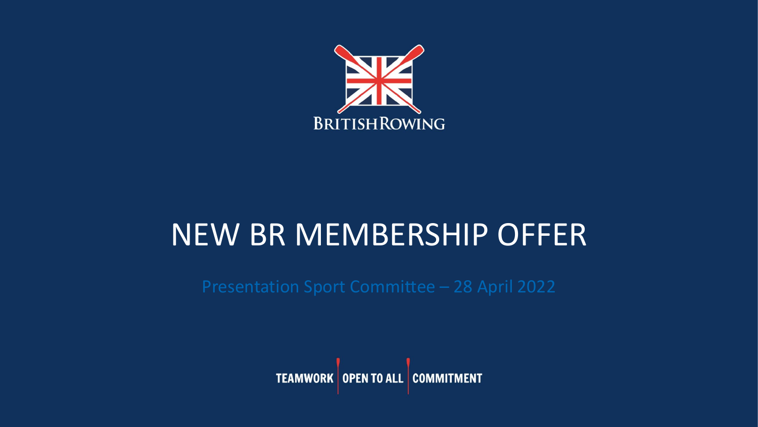

# NEW BR MEMBERSHIP OFFER

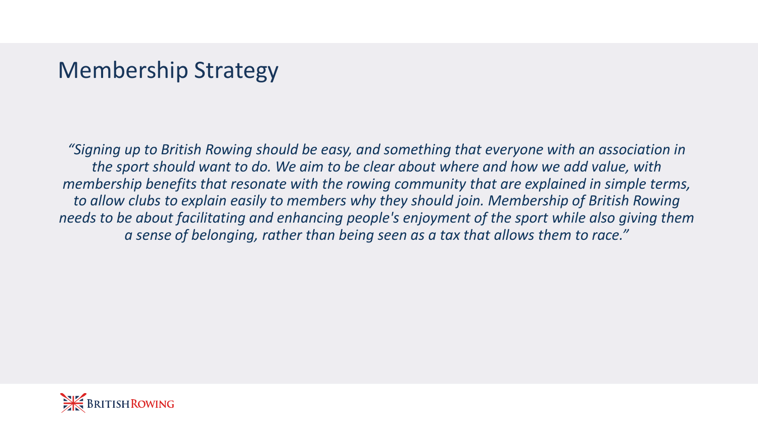#### Membership Strategy

*"Signing up to British Rowing should be easy, and something that everyone with an association in the sport should want to do. We aim to be clear about where and how we add value, with membership benefits that resonate with the rowing community that are explained in simple terms, to allow clubs to explain easily to members why they should join. Membership of British Rowing needs to be about facilitating and enhancing people's enjoyment of the sport while also giving them a sense of belonging, rather than being seen as a tax that allows them to race."*

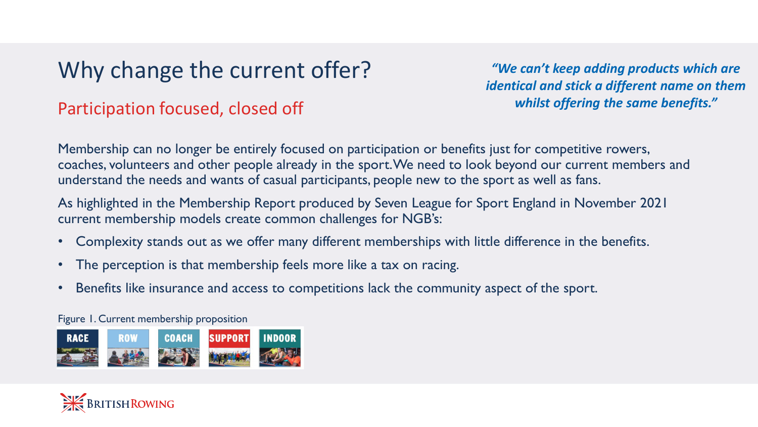# Why change the current offer?

#### Participation focused, closed off

*"We can't keep adding products which are identical and stick a different name on them whilst offering the same benefits."*

Membership can no longer be entirely focused on participation or benefits just for competitive rowers, coaches, volunteers and other people already in the sport. We need to look beyond our current members and understand the needs and wants of casual participants, people new to the sport as well as fans.

As highlighted in the Membership Report produced by Seven League for Sport England in November 2021 current membership models create common challenges for NGB's:

- Complexity stands out as we offer many different memberships with little difference in the benefits.
- The perception is that membership feels more like a tax on racing.
- Benefits like insurance and access to competitions lack the community aspect of the sport.

Figure 1. Current membership proposition



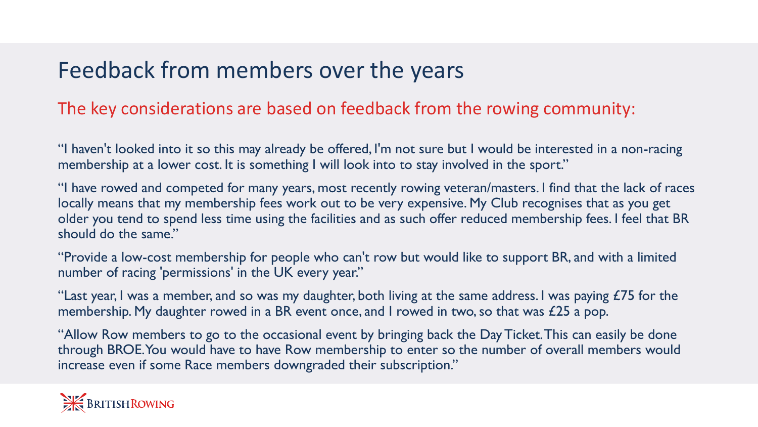### Feedback from members over the years

#### The key considerations are based on feedback from the rowing community:

"I haven't looked into it so this may already be offered, I'm not sure but I would be interested in a non-racing membership at a lower cost. It is something I will look into to stay involved in the sport."

"I have rowed and competed for many years, most recently rowing veteran/masters. I find that the lack of races locally means that my membership fees work out to be very expensive. My Club recognises that as you get older you tend to spend less time using the facilities and as such offer reduced membership fees. I feel that BR should do the same."

"Provide a low-cost membership for people who can't row but would like to support BR, and with a limited number of racing 'permissions' in the UK every year."

"Last year, I was a member, and so was my daughter, both living at the same address. I was paying  $E75$  for the membership. My daughter rowed in a BR event once, and I rowed in two, so that was £25 a pop.

"Allow Row members to go to the occasional event by bringing back the Day Ticket. This can easily be done through BROE. You would have to have Row membership to enter so the number of overall members would increase even if some Race members downgraded their subscription."

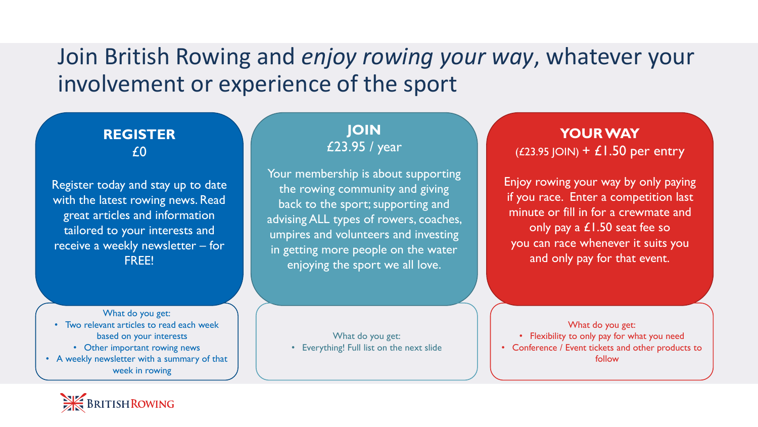#### Join British Rowing and *enjoy rowing your way*, whatever your involvement or experience of the sport

#### **REGISTER** £0

Register today and stay up to date with the latest rowing news. Read great articles and information tailored to your interests and receive a weekly newsletter – for FREE!

What do you get: • Two relevant articles to read each week based on your interests • Other important rowing news • A weekly newsletter with a summary of that

week in rowing

**JOIN** £23.95 / year

Your membership is about supporting the rowing community and giving back to the sport; supporting and advising ALL types of rowers, coaches, umpires and volunteers and investing in getting more people on the water enjoying the sport we all love.

What do you get:

• Everything! Full list on the next slide

**YOUR WAY**  $(£23.95$  JOIN) +  $£1.50$  per entry

Enjoy rowing your way by only paying if you race. Enter a competition last minute or fill in for a crewmate and only pay a £1.50 seat fee so you can race whenever it suits you and only pay for that event.

What do you get:

• Flexibility to only pay for what you need

• Conference / Event tickets and other products to follow

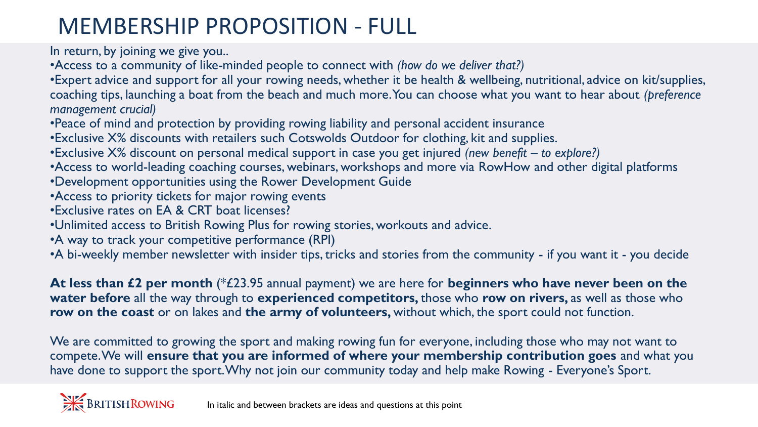# MEMBERSHIP PROPOSITION - FULL

In return, by joining we give you..

•Access to a community of like-minded people to connect with *(how do we deliver that?)*

•Expert advice and support for all your rowing needs, whether it be health & wellbeing, nutritional, advice on kit/supplies, coaching tips, launching a boat from the beach and much more. You can choose what you want to hear about *(preference management crucial)*

•Peace of mind and protection by providing rowing liability and personal accident insurance

•Exclusive X% discounts with retailers such Cotswolds Outdoor for clothing, kit and supplies.

•Exclusive X% discount on personal medical support in case you get injured *(new benefit – to explore?)*

•Access to world-leading coaching courses, webinars, workshops and more via RowHow and other digital platforms

- •Development opportunities using the Rower Development Guide
- •Access to priority tickets for major rowing events
- •Exclusive rates on EA & CRT boat licenses?
- •Unlimited access to British Rowing Plus for rowing stories, workouts and advice.
- •A way to track your competitive performance (RPI)

•A bi-weekly member newsletter with insider tips, tricks and stories from the community - if you want it - you decide

**At less than £2 per month** (\*£23.95 annual payment) we are here for **beginners who have never been on the water before** all the way through to **experienced competitors,** those who **row on rivers,** as well as those who **row on the coast** or on lakes and **the army of volunteers,** without which, the sport could not function.

We are committed to growing the sport and making rowing fun for everyone, including those who may not want to compete. We will **ensure that you are informed of where your membership contribution goes** and what you have done to support the sport. Why not join our community today and help make Rowing - Everyone's Sport.

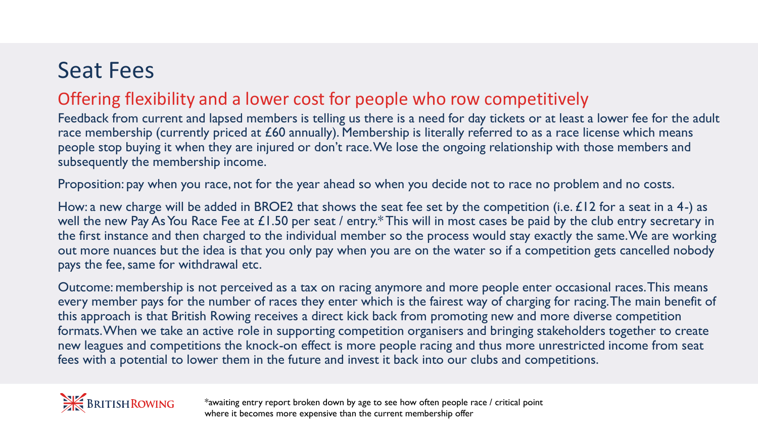# Seat Fees

#### Offering flexibility and a lower cost for people who row competitively

Feedback from current and lapsed members is telling us there is a need for day tickets or at least a lower fee for the adult race membership (currently priced at £60 annually). Membership is literally referred to as a race license which means people stop buying it when they are injured or don't race. We lose the ongoing relationship with those members and subsequently the membership income.

Proposition: pay when you race, not for the year ahead so when you decide not to race no problem and no costs.

How: a new charge will be added in BROE2 that shows the seat fee set by the competition (i.e.  $\pounds$ 12 for a seat in a 4-) as well the new Pay As You Race Fee at £1.50 per seat / entry.\* This will in most cases be paid by the club entry secretary in the first instance and then charged to the individual member so the process would stay exactly the same. We are working out more nuances but the idea is that you only pay when you are on the water so if a competition gets cancelled nobody pays the fee, same for withdrawal etc.

Outcome: membership is not perceived as a tax on racing anymore and more people enter occasional races. This means every member pays for the number of races they enter which is the fairest way of charging for racing. The main benefit of this approach is that British Rowing receives a direct kick back from promoting new and more diverse competition formats. When we take an active role in supporting competition organisers and bringing stakeholders together to create new leagues and competitions the knock-on effect is more people racing and thus more unrestricted income from seat fees with a potential to lower them in the future and invest it back into our clubs and competitions.



\*awaiting entry report broken down by age to see how often people race / critical point where it becomes more expensive than the current membership offer